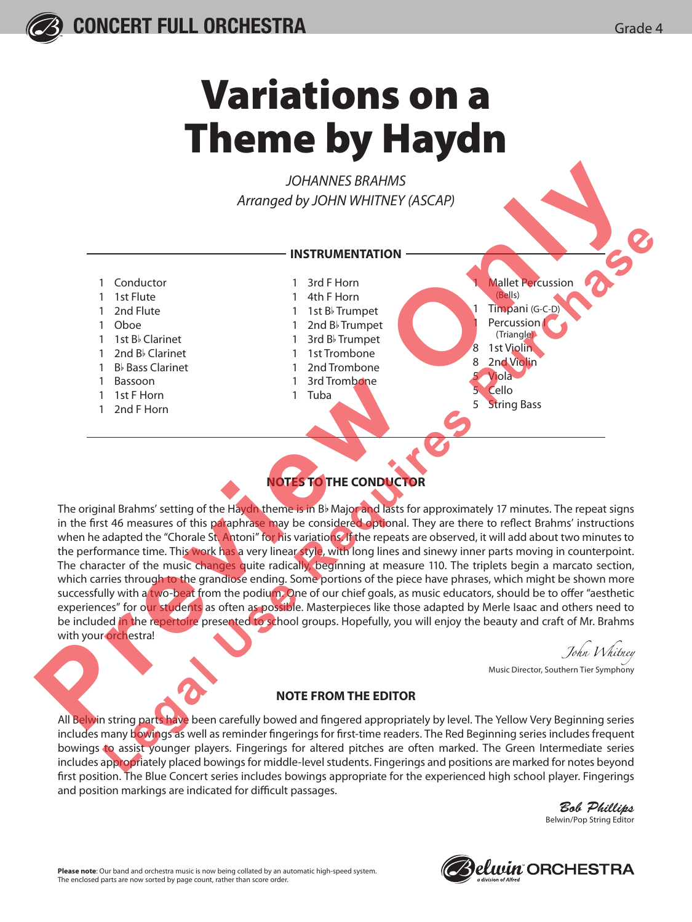**CONCERT FULL ORCHESTRA**



## *JOHANNES BRAHMS Arranged by JOHN WHITNEY (ASCAP)*

**INSTRUMENTATION**

- 1 Conductor
- 1 1st Flute
- 1 2nd Flute
- 1 Oboe
- 1 1st B<sub>b</sub> Clarinet
- 1 2nd B<sub>b</sub> Clarinet
- 1 Bb Bass Clarinet
- 1 Bassoon
- 1 1st F Horn
- 1 2nd F Horn
- 1 3rd F Horn 1 4th F Horn
- 1 1st Bb Trumpet
- 1 2nd Bb Trumpet
- 1 3rd B<sub>b</sub> Trumpet
- 1 1st Trombone
- 1 2nd Trombone
- 1 3rd Trombone
- 1 Tuba

## **Mallet Percussion** (Bells)

Percussion (Triangle) 1st Violin 8 2nd Violin Viola **Cello** 

**String Bass** 

Timpani (G-C-D)

## **NOTES TO THE CONDUCTOR**

The original Brahms' setting of the Haydn theme is in B♭ Major and lasts for approximately 17 minutes. The repeat signs in the first 46 measures of this paraphrase may be considered optional. They are there to reflect Brahms' instructions when he adapted the "Chorale St. Antoni" for his variations. If the repeats are observed, it will add about two minutes to the performance time. This work has a very linear style, with long lines and sinewy inner parts moving in counterpoint. The character of the music changes quite radically, beginning at measure 110. The triplets begin a marcato section, which carries through to the grandiose ending. Some portions of the piece have phrases, which might be shown more successfully with a two-beat from the podium. One of our chief goals, as music educators, should be to offer "aesthetic experiences" for our students as often as possible. Masterpieces like those adapted by Merle Isaac and others need to be included in the repertoire presented to school groups. Hopefully, you will enjoy the beauty and craft of Mr. Brahms with your orchestra! JOHANNES BRAHMS<br>
Arranged by JOHN WHITNEY (ASCAP)<br>
THE REVIEW **THE CONDUCTER**<br>
1 Conductor<br>
1 Conductor<br>
1 Conductor<br>
1 Conductor<br>
1 Conductor<br>
1 Conductor<br>
1 Conductor<br>
1 Conductor<br>
1 Conductor<br>
1 Conductor<br>
1 Conducto Legal Use Representation of the Higher Hammar and Entity to the Company of the Company of the Company of the Company of the Company of the Company of the Company of the Company of the Company of the Company of the Company

Music Director, Southern Tier Symphony

## **NOTE FROM THE EDITOR**

All Belwin string parts have been carefully bowed and fingered appropriately by level. The Yellow Very Beginning series includes many bowings as well as reminder fingerings for first-time readers. The Red Beginning series includes frequent bowings to assist younger players. Fingerings for altered pitches are often marked. The Green Intermediate series includes appropriately placed bowings for middle-level students. Fingerings and positions are marked for notes beyond first position. The Blue Concert series includes bowings appropriate for the experienced high school player. Fingerings and position markings are indicated for difficult passages.

> *Bob Phillips* Belwin/Pop String Editor



**Please note**: Our band and orchestra music is now being collated by an automatic high-speed system. The enclosed parts are now sorted by page count, rather than score order.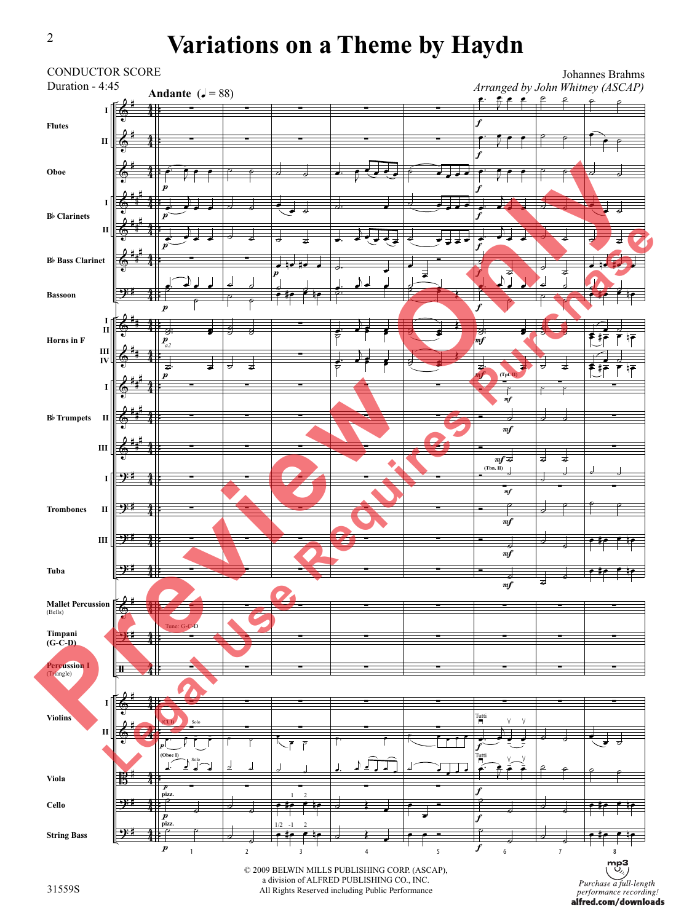**Variations on a Theme by Haydn**



alfred.com/downloads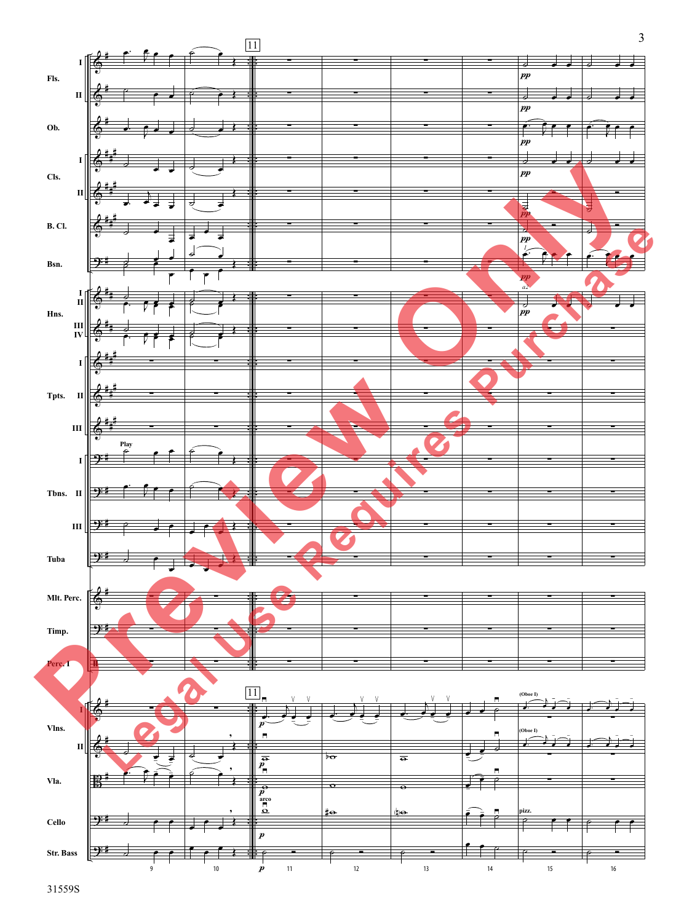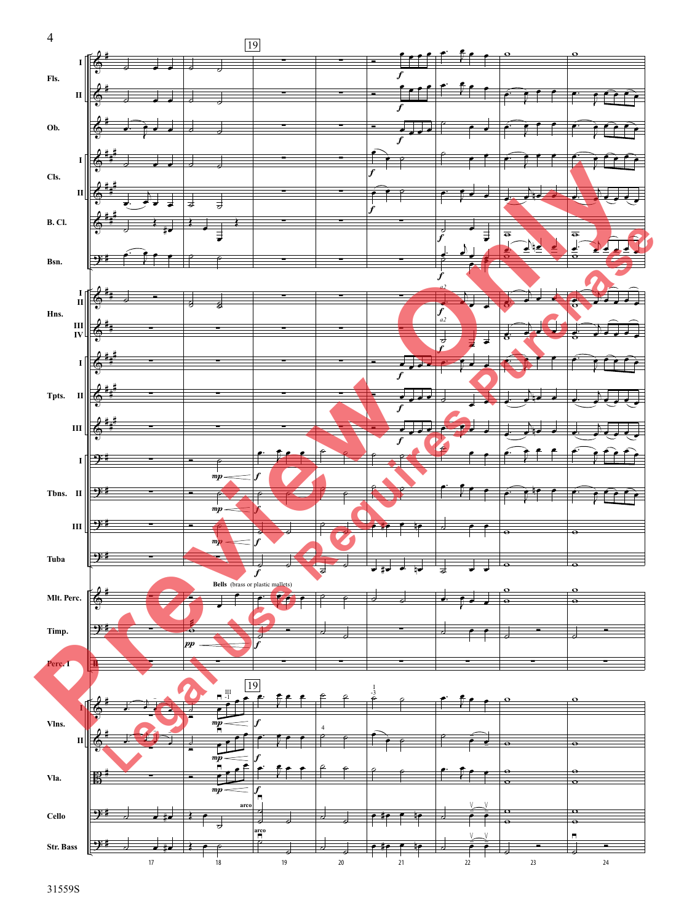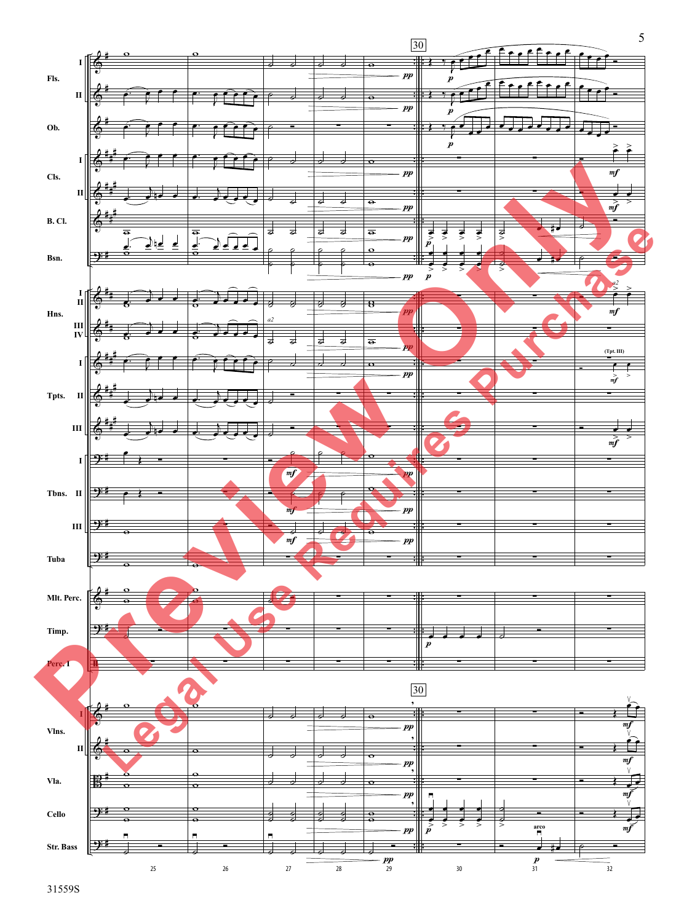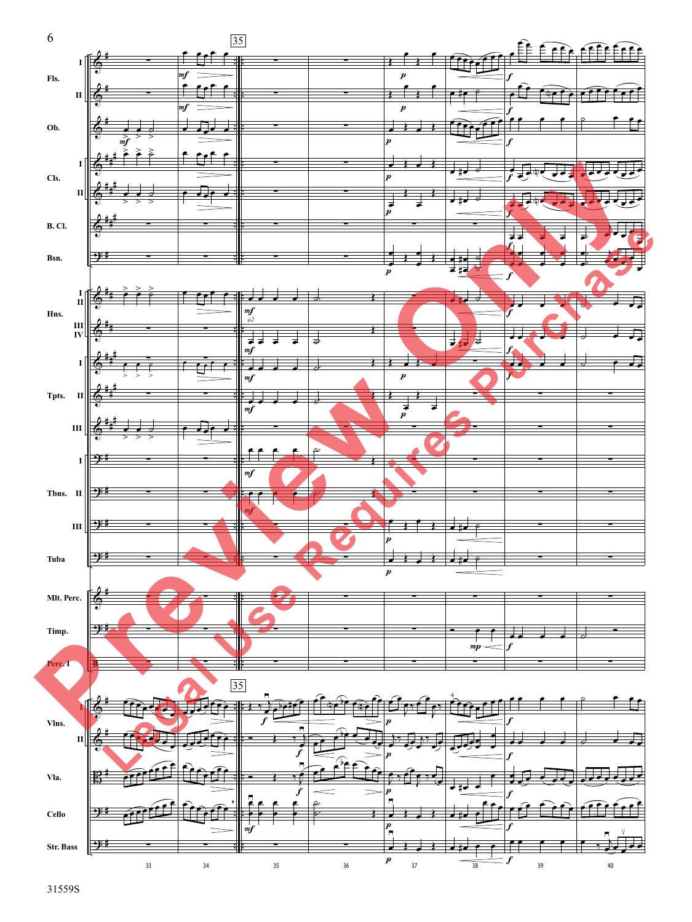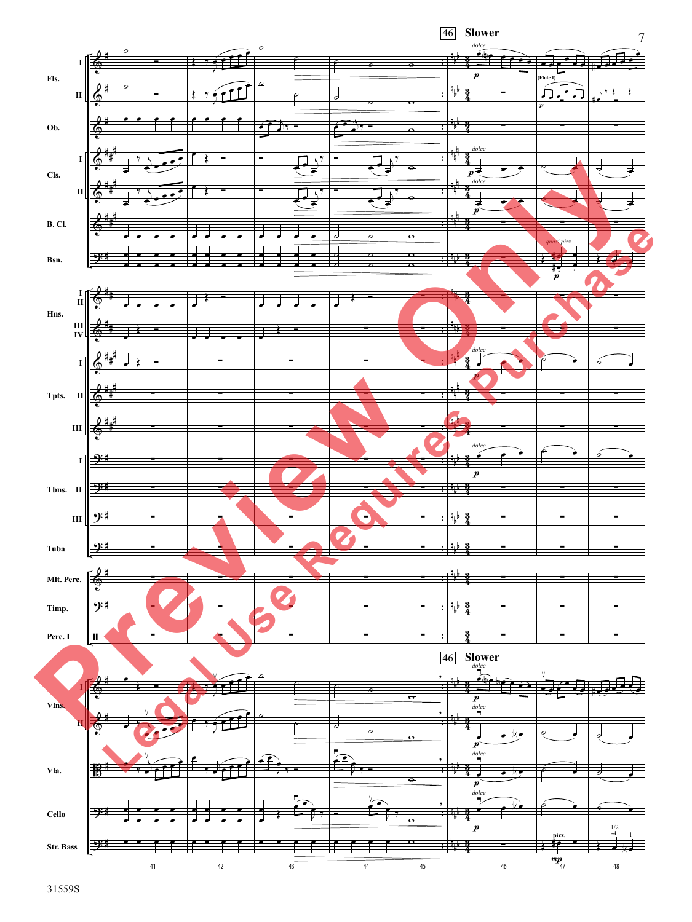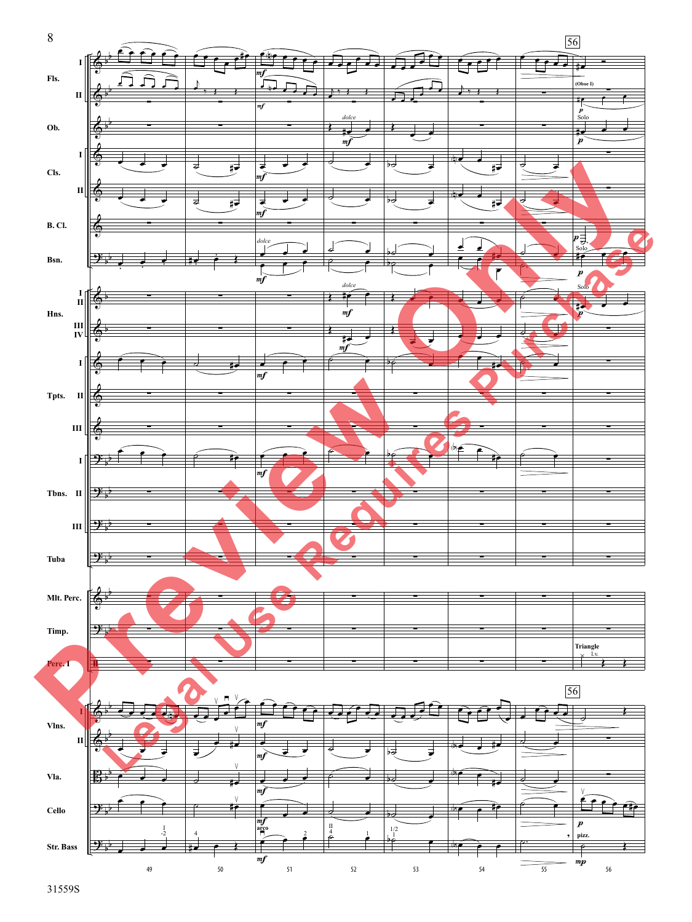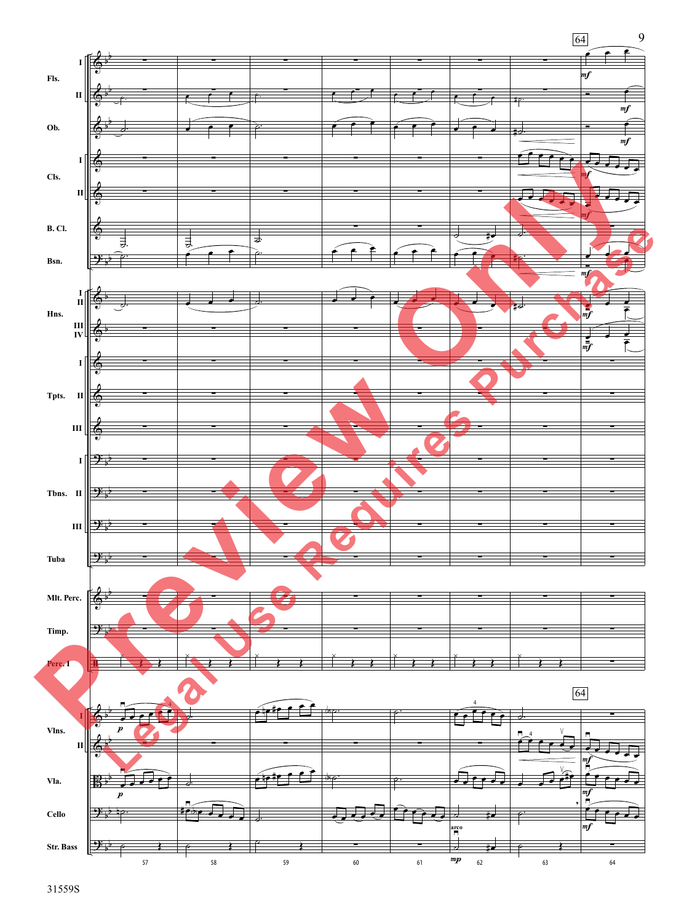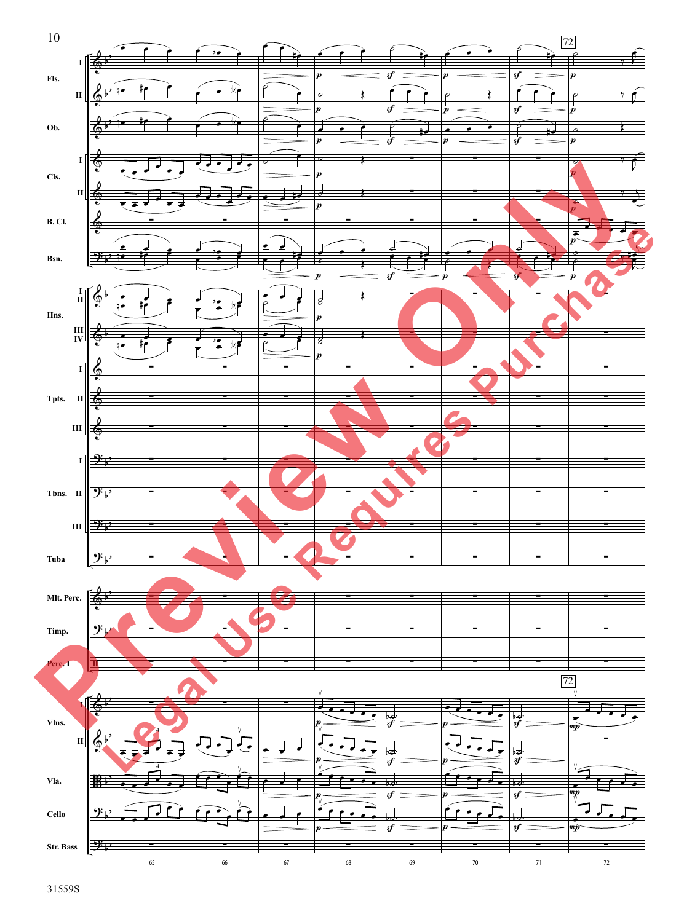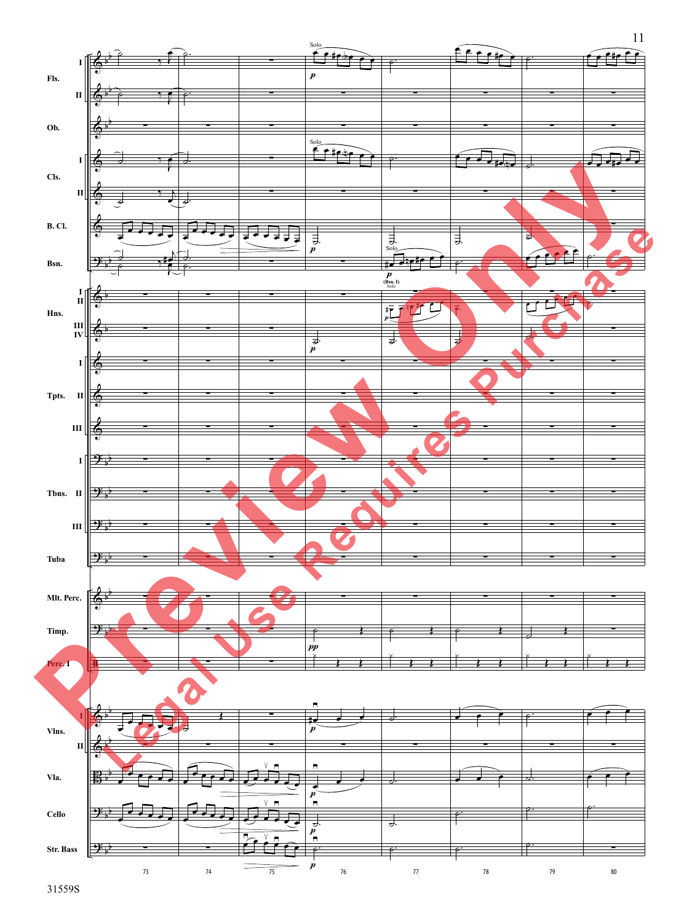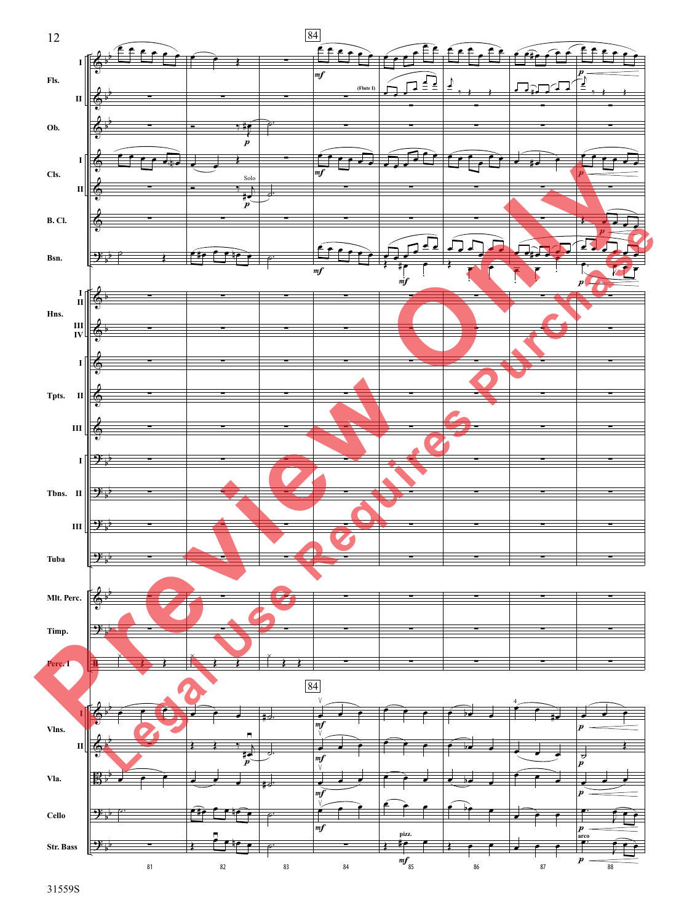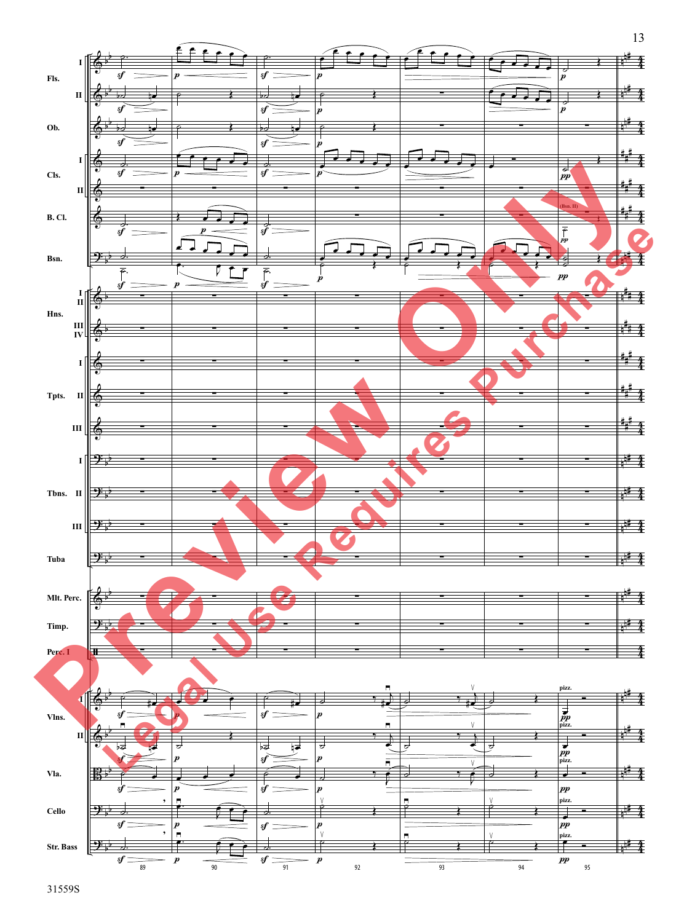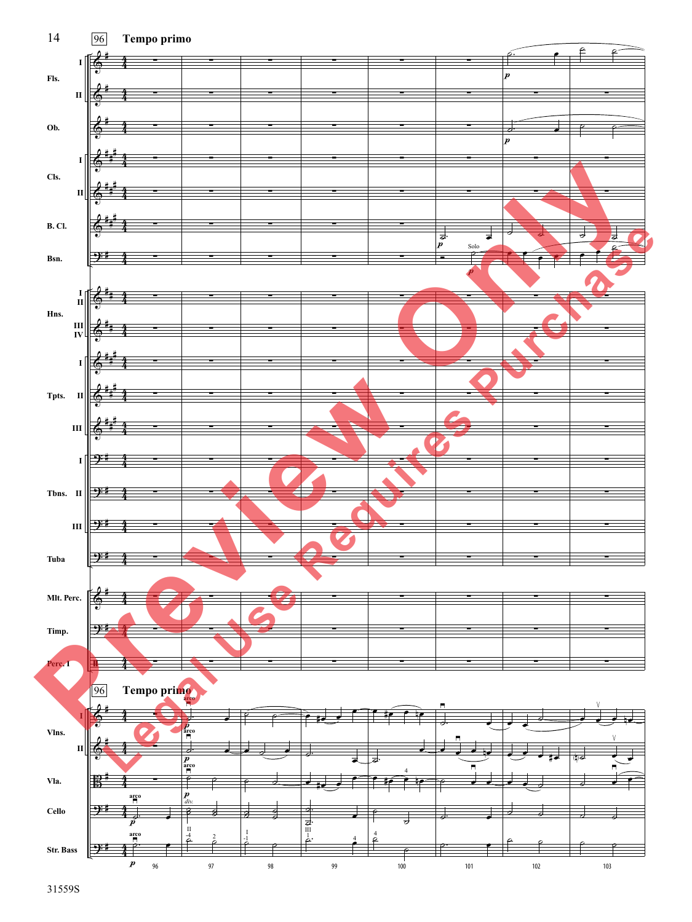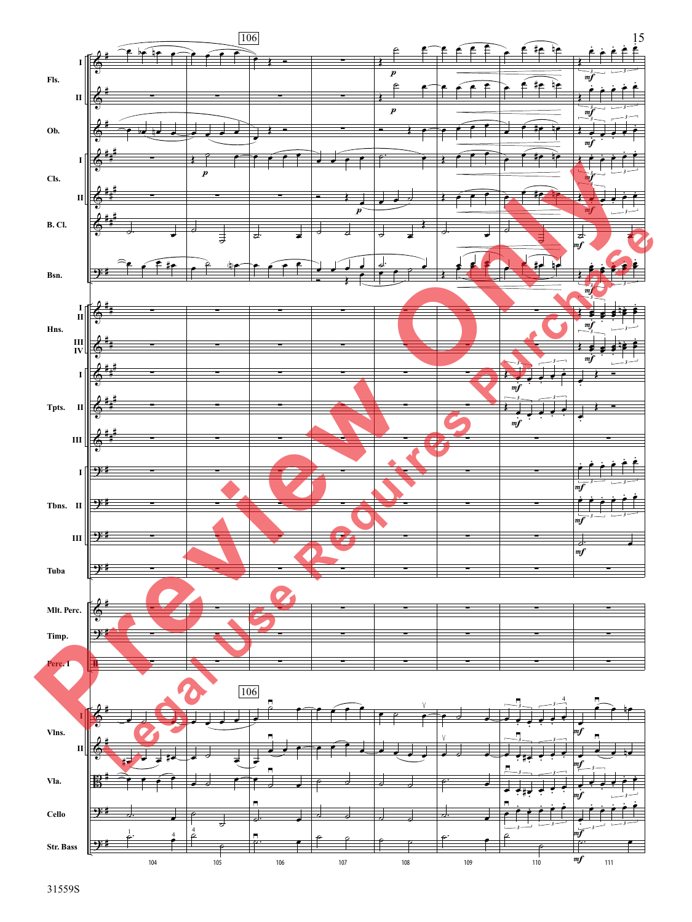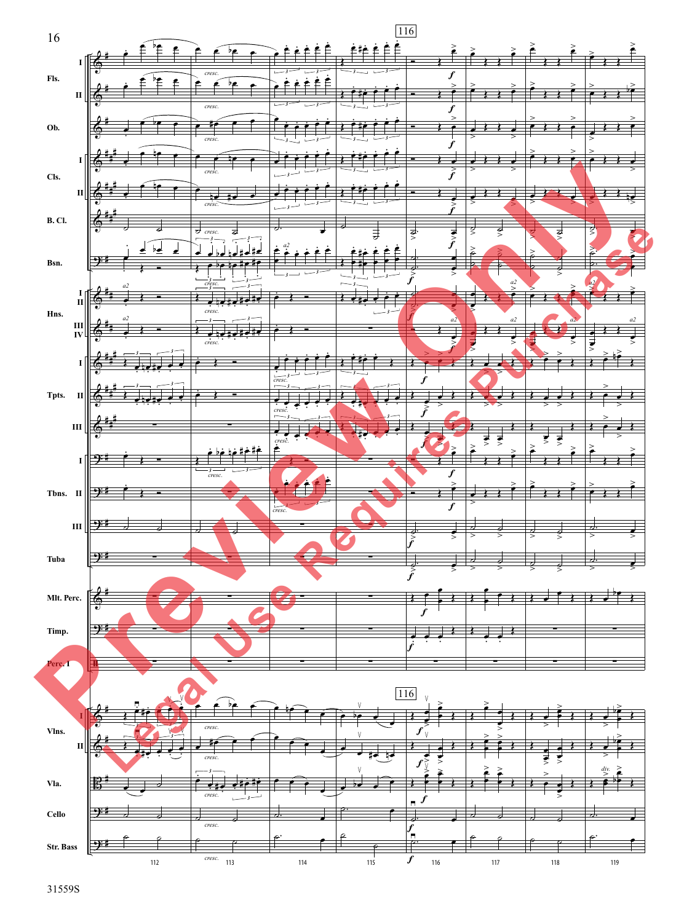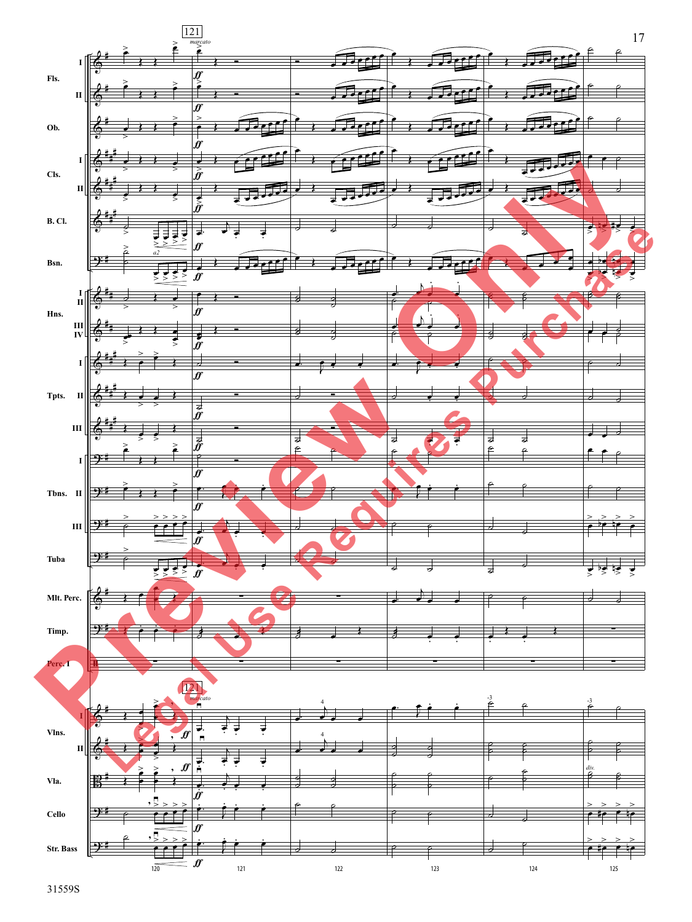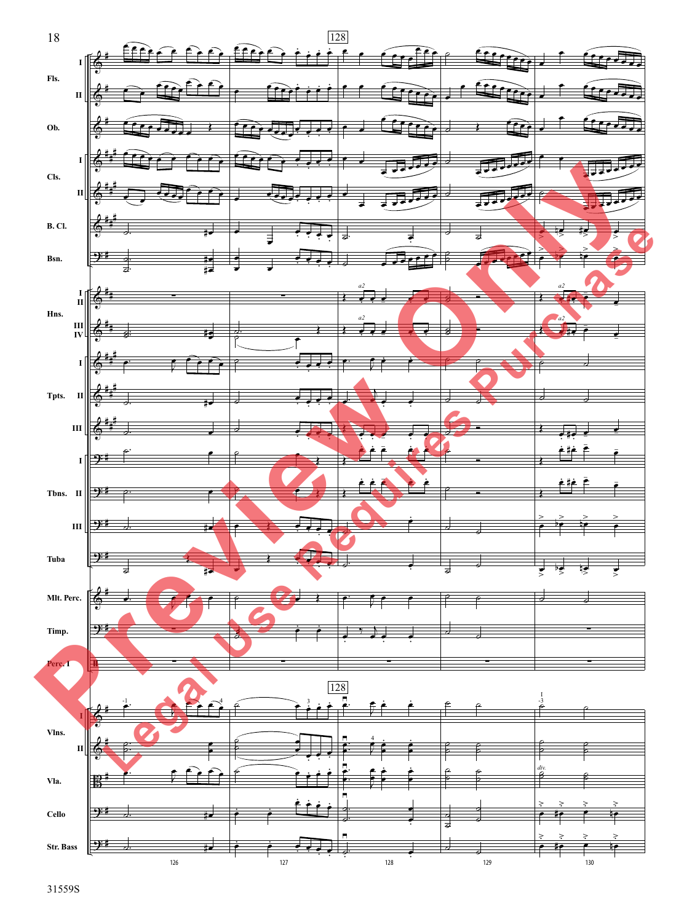